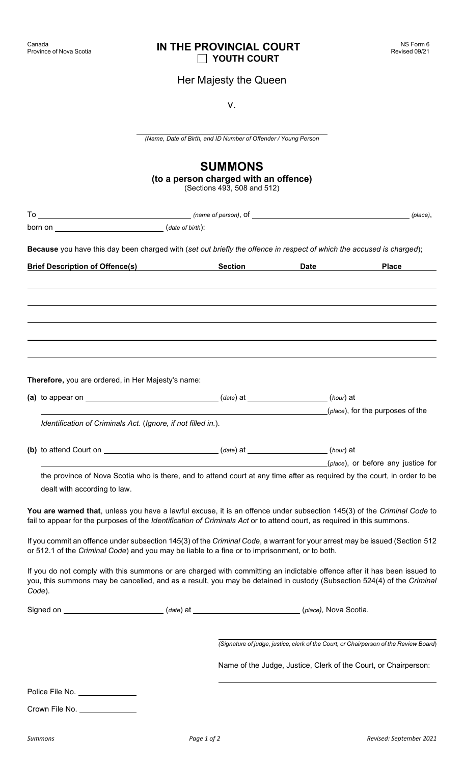## **IN THE PROVINCIAL COURT YOUTH COURT**

Her Majesty the Queen

v.

|                                                                                                                                                                                                                                                             | (Name, Date of Birth, and ID Number of Offender / Young Person                         |                                                                                                                          |
|-------------------------------------------------------------------------------------------------------------------------------------------------------------------------------------------------------------------------------------------------------------|----------------------------------------------------------------------------------------|--------------------------------------------------------------------------------------------------------------------------|
|                                                                                                                                                                                                                                                             | <b>SUMMONS</b><br>(to a person charged with an offence)<br>(Sections 493, 508 and 512) |                                                                                                                          |
| $To \_\_\_\_\_$ (place),                                                                                                                                                                                                                                    |                                                                                        |                                                                                                                          |
|                                                                                                                                                                                                                                                             |                                                                                        |                                                                                                                          |
| Because you have this day been charged with (set out briefly the offence in respect of which the accused is charged);                                                                                                                                       |                                                                                        |                                                                                                                          |
| <b>Brief Description of Offence(s)</b> Section                                                                                                                                                                                                              |                                                                                        | <b>Place</b><br><b>Date Date</b>                                                                                         |
|                                                                                                                                                                                                                                                             |                                                                                        |                                                                                                                          |
| Therefore, you are ordered, in Her Majesty's name:                                                                                                                                                                                                          |                                                                                        |                                                                                                                          |
| (a) to appear on $\sqrt{a}$ (a) to appear on $\sqrt{a}$ (a) $\frac{1}{2}$ (a) $\frac{1}{2}$ (hour) at                                                                                                                                                       |                                                                                        |                                                                                                                          |
| Identification of Criminals Act. (Ignore, if not filled in.).                                                                                                                                                                                               |                                                                                        | (place), for the purposes of the                                                                                         |
|                                                                                                                                                                                                                                                             |                                                                                        |                                                                                                                          |
| (b) to attend Court on the count of the count of the country of the country of the country of the country of the country of the country of the country of the country of the country of the country of the country of the coun                              |                                                                                        | (place), or before any justice for                                                                                       |
|                                                                                                                                                                                                                                                             |                                                                                        | the province of Nova Scotia who is there, and to attend court at any time after as required by the court, in order to be |
| dealt with according to law.                                                                                                                                                                                                                                |                                                                                        |                                                                                                                          |
| You are warned that, unless you have a lawful excuse, it is an offence under subsection 145(3) of the Criminal Code to<br>fail to appear for the purposes of the Identification of Criminals Act or to attend court, as required in this summons.           |                                                                                        |                                                                                                                          |
| If you commit an offence under subsection 145(3) of the Criminal Code, a warrant for your arrest may be issued (Section 512<br>or 512.1 of the Criminal Code) and you may be liable to a fine or to imprisonment, or to both.                               |                                                                                        |                                                                                                                          |
| If you do not comply with this summons or are charged with committing an indictable offence after it has been issued to<br>you, this summons may be cancelled, and as a result, you may be detained in custody (Subsection 524(4) of the Criminal<br>Code). |                                                                                        |                                                                                                                          |
| Signed on _____________________________(date) at ___________________________(place), Nova Scotia.                                                                                                                                                           |                                                                                        |                                                                                                                          |
|                                                                                                                                                                                                                                                             |                                                                                        | (Signature of judge, justice, clerk of the Court, or Chairperson of the Review Board)                                    |
|                                                                                                                                                                                                                                                             |                                                                                        | Name of the Judge, Justice, Clerk of the Court, or Chairperson:                                                          |
| Police File No. _____________                                                                                                                                                                                                                               |                                                                                        |                                                                                                                          |
| Crown File No. _____________                                                                                                                                                                                                                                |                                                                                        |                                                                                                                          |